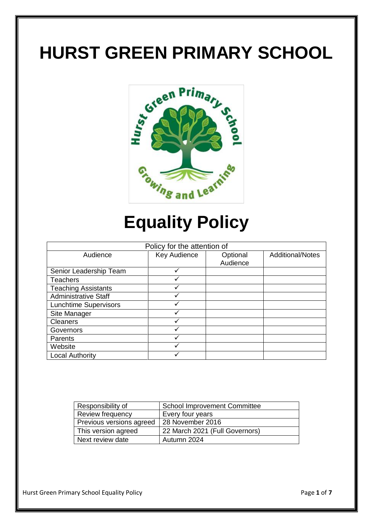# **HURST GREEN PRIMARY SCHOOL**



## **Equality Policy**

| Policy for the attention of  |              |          |                         |
|------------------------------|--------------|----------|-------------------------|
| Audience                     | Key Audience | Optional | <b>Additional/Notes</b> |
|                              |              | Audience |                         |
| Senior Leadership Team       | ✓            |          |                         |
| <b>Teachers</b>              |              |          |                         |
| <b>Teaching Assistants</b>   | ✓            |          |                         |
| <b>Administrative Staff</b>  |              |          |                         |
| <b>Lunchtime Supervisors</b> |              |          |                         |
| Site Manager                 | ✓            |          |                         |
| <b>Cleaners</b>              |              |          |                         |
| Governors                    |              |          |                         |
| Parents                      |              |          |                         |
| Website                      |              |          |                         |
| <b>Local Authority</b>       |              |          |                         |

| Responsibility of        | <b>School Improvement Committee</b> |
|--------------------------|-------------------------------------|
| Review frequency         | Every four years                    |
| Previous versions agreed | 28 November 2016                    |
| This version agreed      | 22 March 2021 (Full Governors)      |
| Next review date         | Autumn 2024                         |

Hurst Green Primary School Equality Policy **Page 1** of **7** and **Page 1** of **7**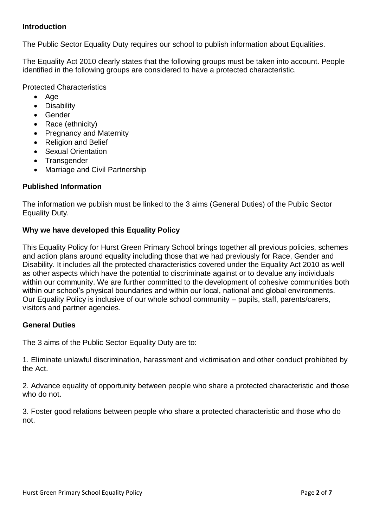#### **Introduction**

The Public Sector Equality Duty requires our school to publish information about Equalities.

The Equality Act 2010 clearly states that the following groups must be taken into account. People identified in the following groups are considered to have a protected characteristic.

Protected Characteristics

- $\bullet$  Age
- Disability
- **6** Gender
- Race (ethnicity)
- Pregnancy and Maternity
- Religion and Belief
- Sexual Orientation
- Transgender
- Marriage and Civil Partnership

## **Published Information**

The information we publish must be linked to the 3 aims (General Duties) of the Public Sector Equality Duty.

#### **Why we have developed this Equality Policy**

This Equality Policy for Hurst Green Primary School brings together all previous policies, schemes and action plans around equality including those that we had previously for Race, Gender and Disability. It includes all the protected characteristics covered under the Equality Act 2010 as well as other aspects which have the potential to discriminate against or to devalue any individuals within our community. We are further committed to the development of cohesive communities both within our school's physical boundaries and within our local, national and global environments. Our Equality Policy is inclusive of our whole school community – pupils, staff, parents/carers, visitors and partner agencies.

#### **General Duties**

The 3 aims of the Public Sector Equality Duty are to:

1. Eliminate unlawful discrimination, harassment and victimisation and other conduct prohibited by the Act.

2. Advance equality of opportunity between people who share a protected characteristic and those who do not.

3. Foster good relations between people who share a protected characteristic and those who do not.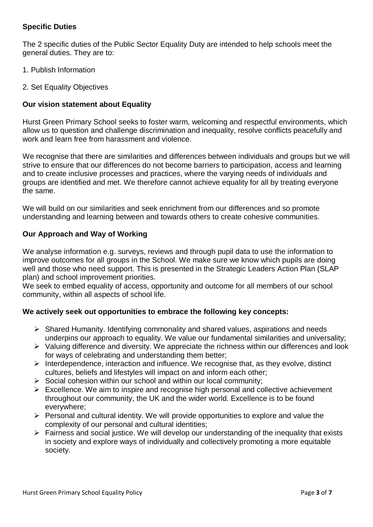## **Specific Duties**

The 2 specific duties of the Public Sector Equality Duty are intended to help schools meet the general duties. They are to:

- 1. Publish Information
- 2. Set Equality Objectives

#### **Our vision statement about Equality**

Hurst Green Primary School seeks to foster warm, welcoming and respectful environments, which allow us to question and challenge discrimination and inequality, resolve conflicts peacefully and work and learn free from harassment and violence.

We recognise that there are similarities and differences between individuals and groups but we will strive to ensure that our differences do not become barriers to participation, access and learning and to create inclusive processes and practices, where the varying needs of individuals and groups are identified and met. We therefore cannot achieve equality for all by treating everyone the same.

We will build on our similarities and seek enrichment from our differences and so promote understanding and learning between and towards others to create cohesive communities.

#### **Our Approach and Way of Working**

We analyse information e.g. surveys, reviews and through pupil data to use the information to improve outcomes for all groups in the School. We make sure we know which pupils are doing well and those who need support. This is presented in the Strategic Leaders Action Plan (SLAP plan) and school improvement priorities.

We seek to embed equality of access, opportunity and outcome for all members of our school community, within all aspects of school life.

#### **We actively seek out opportunities to embrace the following key concepts:**

- $\triangleright$  Shared Humanity. Identifying commonality and shared values, aspirations and needs underpins our approach to equality. We value our fundamental similarities and universality;
- $\triangleright$  Valuing difference and diversity. We appreciate the richness within our differences and look for ways of celebrating and understanding them better;
- $\triangleright$  Interdependence, interaction and influence. We recognise that, as they evolve, distinct cultures, beliefs and lifestyles will impact on and inform each other;
- $\triangleright$  Social cohesion within our school and within our local community:
- $\triangleright$  Excellence. We aim to inspire and recognise high personal and collective achievement throughout our community, the UK and the wider world. Excellence is to be found everywhere;
- $\triangleright$  Personal and cultural identity. We will provide opportunities to explore and value the complexity of our personal and cultural identities;
- $\triangleright$  Fairness and social justice. We will develop our understanding of the inequality that exists in society and explore ways of individually and collectively promoting a more equitable society.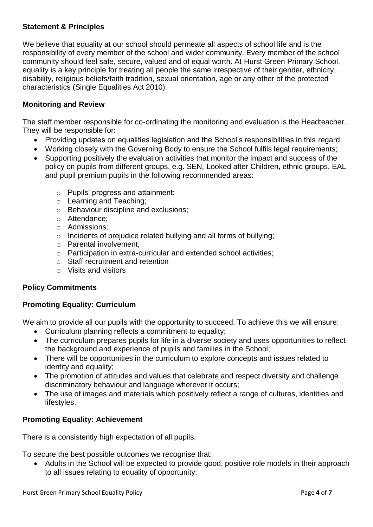#### **Statement & Principles**

We believe that equality at our school should permeate all aspects of school life and is the responsibility of every member of the school and wider community. Every member of the school community should feel safe, secure, valued and of equal worth. At Hurst Green Primary School, equality is a key principle for treating all people the same irrespective of their gender, ethnicity, disability, religious beliefs/faith tradition, sexual orientation, age or any other of the protected characteristics (Single Equalities Act 2010).

#### **Monitoring and Review**

The staff member responsible for co-ordinating the monitoring and evaluation is the Headteacher. They will be responsible for:

- Providing updates on equalities legislation and the School's responsibilities in this regard;
- Working closely with the Governing Body to ensure the School fulfils legal requirements;
- Supporting positively the evaluation activities that monitor the impact and success of the policy on pupils from different groups, e.g. SEN, Looked after Children, ethnic groups, EAL and pupil premium pupils in the following recommended areas:
	- o Pupils' progress and attainment;
	- o Learning and Teaching;
	- o Behaviour discipline and exclusions;
	- o Attendance;
	- o Admissions;
	- o Incidents of prejudice related bullying and all forms of bullying;
	- o Parental involvement;
	- o Participation in extra-curricular and extended school activities;
	- o Staff recruitment and retention
	- o Visits and visitors

#### **Policy Commitments**

#### **Promoting Equality: Curriculum**

We aim to provide all our pupils with the opportunity to succeed. To achieve this we will ensure:

- Curriculum planning reflects a commitment to equality;
- The curriculum prepares pupils for life in a diverse society and uses opportunities to reflect the background and experience of pupils and families in the School;
- There will be opportunities in the curriculum to explore concepts and issues related to identity and equality;
- The promotion of attitudes and values that celebrate and respect diversity and challenge discriminatory behaviour and language wherever it occurs;
- The use of images and materials which positively reflect a range of cultures, identities and lifestyles.

#### **Promoting Equality: Achievement**

There is a consistently high expectation of all pupils.

To secure the best possible outcomes we recognise that:

• Adults in the School will be expected to provide good, positive role models in their approach to all issues relating to equality of opportunity;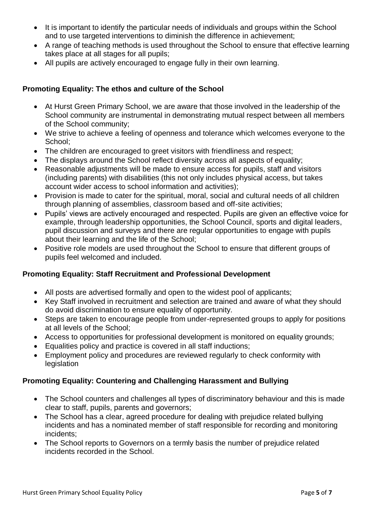- It is important to identify the particular needs of individuals and groups within the School and to use targeted interventions to diminish the difference in achievement;
- A range of teaching methods is used throughout the School to ensure that effective learning takes place at all stages for all pupils;
- All pupils are actively encouraged to engage fully in their own learning.

## **Promoting Equality: The ethos and culture of the School**

- At Hurst Green Primary School, we are aware that those involved in the leadership of the School community are instrumental in demonstrating mutual respect between all members of the School community;
- We strive to achieve a feeling of openness and tolerance which welcomes everyone to the School:
- The children are encouraged to greet visitors with friendliness and respect;
- The displays around the School reflect diversity across all aspects of equality;
- Reasonable adjustments will be made to ensure access for pupils, staff and visitors (including parents) with disabilities (this not only includes physical access, but takes account wider access to school information and activities);
- Provision is made to cater for the spiritual, moral, social and cultural needs of all children through planning of assemblies, classroom based and off-site activities;
- Pupils' views are actively encouraged and respected. Pupils are given an effective voice for example, through leadership opportunities, the School Council, sports and digital leaders, pupil discussion and surveys and there are regular opportunities to engage with pupils about their learning and the life of the School;
- Positive role models are used throughout the School to ensure that different groups of pupils feel welcomed and included.

## **Promoting Equality: Staff Recruitment and Professional Development**

- All posts are advertised formally and open to the widest pool of applicants;
- Key Staff involved in recruitment and selection are trained and aware of what they should do avoid discrimination to ensure equality of opportunity.
- Steps are taken to encourage people from under-represented groups to apply for positions at all levels of the School;
- Access to opportunities for professional development is monitored on equality grounds;
- Equalities policy and practice is covered in all staff inductions;
- Employment policy and procedures are reviewed regularly to check conformity with legislation

## **Promoting Equality: Countering and Challenging Harassment and Bullying**

- The School counters and challenges all types of discriminatory behaviour and this is made clear to staff, pupils, parents and governors;
- The School has a clear, agreed procedure for dealing with prejudice related bullying incidents and has a nominated member of staff responsible for recording and monitoring incidents;
- The School reports to Governors on a termly basis the number of prejudice related incidents recorded in the School.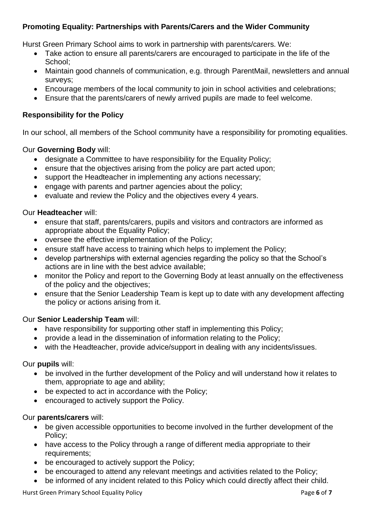## **Promoting Equality: Partnerships with Parents/Carers and the Wider Community**

Hurst Green Primary School aims to work in partnership with parents/carers. We:

- Take action to ensure all parents/carers are encouraged to participate in the life of the School;
- Maintain good channels of communication, e.g. through ParentMail, newsletters and annual surveys;
- Encourage members of the local community to join in school activities and celebrations;
- Ensure that the parents/carers of newly arrived pupils are made to feel welcome.

#### **Responsibility for the Policy**

In our school, all members of the School community have a responsibility for promoting equalities.

#### Our **Governing Body** will:

- designate a Committee to have responsibility for the Equality Policy;
- ensure that the objectives arising from the policy are part acted upon;
- support the Headteacher in implementing any actions necessary;
- engage with parents and partner agencies about the policy;
- evaluate and review the Policy and the objectives every 4 years.

## Our **Headteacher** will:

- ensure that staff, parents/carers, pupils and visitors and contractors are informed as appropriate about the Equality Policy;
- oversee the effective implementation of the Policy;
- ensure staff have access to training which helps to implement the Policy;
- develop partnerships with external agencies regarding the policy so that the School's actions are in line with the best advice available;
- monitor the Policy and report to the Governing Body at least annually on the effectiveness of the policy and the objectives;
- ensure that the Senior Leadership Team is kept up to date with any development affecting the policy or actions arising from it.

#### Our **Senior Leadership Team** will:

- have responsibility for supporting other staff in implementing this Policy;
- provide a lead in the dissemination of information relating to the Policy;
- with the Headteacher, provide advice/support in dealing with any incidents/issues.

#### Our **pupils** will:

- be involved in the further development of the Policy and will understand how it relates to them, appropriate to age and ability;
- be expected to act in accordance with the Policy;
- encouraged to actively support the Policy.

#### Our **parents/carers** will:

- be given accessible opportunities to become involved in the further development of the Policy;
- have access to the Policy through a range of different media appropriate to their requirements;
- be encouraged to actively support the Policy;
- be encouraged to attend any relevant meetings and activities related to the Policy;
- be informed of any incident related to this Policy which could directly affect their child.